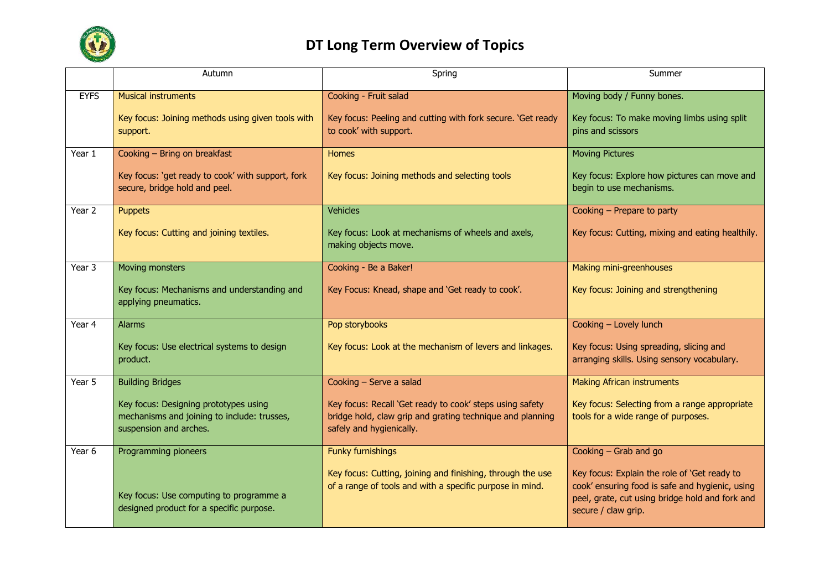

## **DT Long Term Overview of Topics**

|             | Autumn                                                                                                         | Spring                                                                                                                                            | Summer                                                                                                                                                                    |
|-------------|----------------------------------------------------------------------------------------------------------------|---------------------------------------------------------------------------------------------------------------------------------------------------|---------------------------------------------------------------------------------------------------------------------------------------------------------------------------|
| <b>EYFS</b> | <b>Musical instruments</b>                                                                                     | Cooking - Fruit salad                                                                                                                             | Moving body / Funny bones.                                                                                                                                                |
|             | Key focus: Joining methods using given tools with<br>support.                                                  | Key focus: Peeling and cutting with fork secure. 'Get ready<br>to cook' with support.                                                             | Key focus: To make moving limbs using split<br>pins and scissors                                                                                                          |
| Year 1      | Cooking - Bring on breakfast                                                                                   | <b>Homes</b>                                                                                                                                      | <b>Moving Pictures</b>                                                                                                                                                    |
|             | Key focus: 'get ready to cook' with support, fork<br>secure, bridge hold and peel.                             | Key focus: Joining methods and selecting tools                                                                                                    | Key focus: Explore how pictures can move and<br>begin to use mechanisms.                                                                                                  |
| Year 2      | <b>Puppets</b>                                                                                                 | <b>Vehicles</b>                                                                                                                                   | Cooking - Prepare to party                                                                                                                                                |
|             | Key focus: Cutting and joining textiles.                                                                       | Key focus: Look at mechanisms of wheels and axels,<br>making objects move.                                                                        | Key focus: Cutting, mixing and eating healthily.                                                                                                                          |
| Year 3      | Moving monsters                                                                                                | Cooking - Be a Baker!                                                                                                                             | Making mini-greenhouses                                                                                                                                                   |
|             | Key focus: Mechanisms and understanding and<br>applying pneumatics.                                            | Key Focus: Knead, shape and 'Get ready to cook'.                                                                                                  | Key focus: Joining and strengthening                                                                                                                                      |
| Year 4      | <b>Alarms</b>                                                                                                  | Pop storybooks                                                                                                                                    | Cooking - Lovely lunch                                                                                                                                                    |
|             | Key focus: Use electrical systems to design<br>product.                                                        | Key focus: Look at the mechanism of levers and linkages.                                                                                          | Key focus: Using spreading, slicing and<br>arranging skills. Using sensory vocabulary.                                                                                    |
| Year 5      | <b>Building Bridges</b>                                                                                        | Cooking - Serve a salad                                                                                                                           | <b>Making African instruments</b>                                                                                                                                         |
|             | Key focus: Designing prototypes using<br>mechanisms and joining to include: trusses,<br>suspension and arches. | Key focus: Recall 'Get ready to cook' steps using safety<br>bridge hold, claw grip and grating technique and planning<br>safely and hygienically. | Key focus: Selecting from a range appropriate<br>tools for a wide range of purposes.                                                                                      |
| Year 6      | Programming pioneers                                                                                           | Funky furnishings                                                                                                                                 | Cooking - Grab and go                                                                                                                                                     |
|             | Key focus: Use computing to programme a<br>designed product for a specific purpose.                            | Key focus: Cutting, joining and finishing, through the use<br>of a range of tools and with a specific purpose in mind.                            | Key focus: Explain the role of 'Get ready to<br>cook' ensuring food is safe and hygienic, using<br>peel, grate, cut using bridge hold and fork and<br>secure / claw grip. |